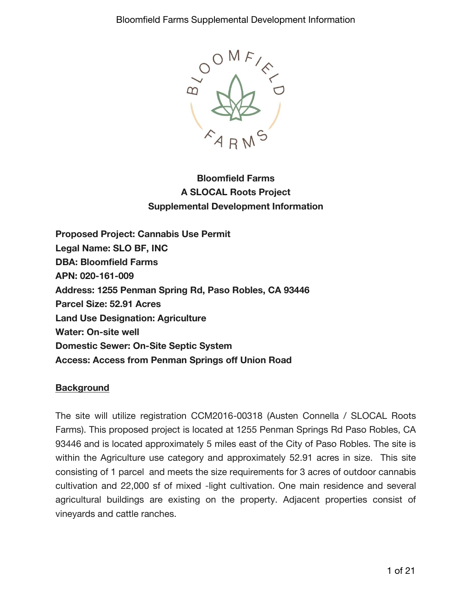

# **Bloomfield Farms A SLOCAL Roots Project Supplemental Development Information**

**Proposed Project: Cannabis Use Permit Legal Name: SLO BF, INC DBA: Bloomfield Farms APN: 020-161-009 Address: 1255 Penman Spring Rd, Paso Robles, CA 93446 Parcel Size: 52.91 Acres Land Use Designation: Agriculture Water: On-site well Domestic Sewer: On-Site Septic System Access: Access from Penman Springs off Union Road**

## **Background**

The site will utilize registration CCM2016-00318 (Austen Connella / SLOCAL Roots Farms). This proposed project is located at 1255 Penman Springs Rd Paso Robles, CA 93446 and is located approximately 5 miles east of the City of Paso Robles. The site is within the Agriculture use category and approximately 52.91 acres in size. This site consisting of 1 parcel and meets the size requirements for 3 acres of outdoor cannabis cultivation and 22,000 sf of mixed -light cultivation. One main residence and several agricultural buildings are existing on the property. Adjacent properties consist of vineyards and cattle ranches.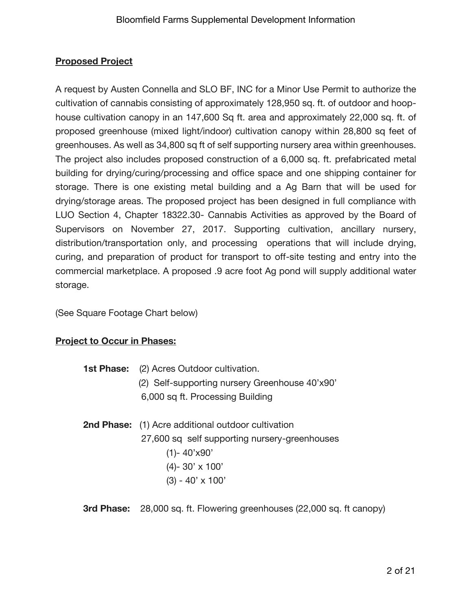## **Proposed Project**

A request by Austen Connella and SLO BF, INC for a Minor Use Permit to authorize the cultivation of cannabis consisting of approximately 128,950 sq. ft. of outdoor and hoophouse cultivation canopy in an 147,600 Sq ft. area and approximately 22,000 sq. ft. of proposed greenhouse (mixed light/indoor) cultivation canopy within 28,800 sq feet of greenhouses. As well as 34,800 sq ft of self supporting nursery area within greenhouses. The project also includes proposed construction of a 6,000 sq. ft. prefabricated metal building for drying/curing/processing and office space and one shipping container for storage. There is one existing metal building and a Ag Barn that will be used for drying/storage areas. The proposed project has been designed in full compliance with LUO Section 4, Chapter 18322.30- Cannabis Activities as approved by the Board of Supervisors on November 27, 2017. Supporting cultivation, ancillary nursery, distribution/transportation only, and processing operations that will include drying, curing, and preparation of product for transport to off-site testing and entry into the commercial marketplace. A proposed .9 acre foot Ag pond will supply additional water storage.

(See Square Footage Chart below)

## **Project to Occur in Phases:**

| <b>1st Phase:</b> (2) Acres Outdoor cultivation. |  |  |  |  |
|--------------------------------------------------|--|--|--|--|
| (2) Self-supporting nursery Greenhouse 40'x90'   |  |  |  |  |
| 6,000 sq ft. Processing Building                 |  |  |  |  |

- **2nd Phase:** (1) Acre additional outdoor cultivation 27,600 sq self supporting nursery-greenhouses (1)- 40'x90' (4)- 30' x 100' (3) - 40' x 100'
- **3rd Phase:** 28,000 sq. ft. Flowering greenhouses (22,000 sq. ft canopy)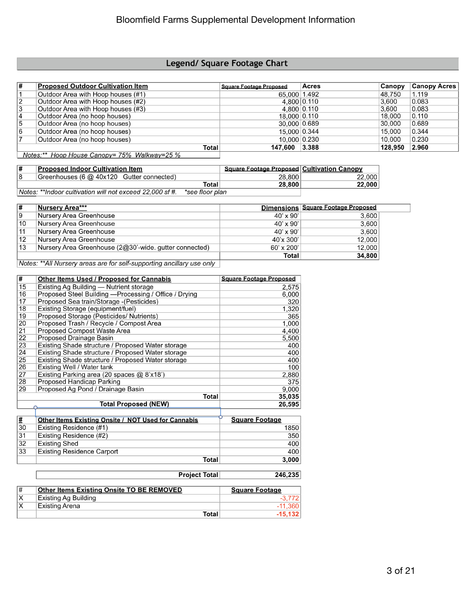#### Legend/ Square Footage Chart

| #              | <b>Proposed Outdoor Cultivation Item</b> | <b>Square Footage Proposed</b> | Acres | <b>Canopy</b> | <b>Canopy Acres</b> |
|----------------|------------------------------------------|--------------------------------|-------|---------------|---------------------|
|                | Outdoor Area with Hoop houses (#1)       | 65,000 1.492                   |       | 48.750        | 1.119               |
| 12             | Outdoor Area with Hoop houses (#2)       | 4.800 0.110                    |       | 3.600         | 0.083               |
| 3              | Outdoor Area with Hoop houses (#3)       | 4.800 0.110                    |       | 3.600         | 0.083               |
| 14             | Outdoor Area (no hoop houses)            | 18.000 0.110                   |       | 18.000        | 0.110               |
| 5              | Outdoor Area (no hoop houses)            | 30.000 0.689                   |       | 30,000        | 0.689               |
| 16             | Outdoor Area (no hoop houses)            | 15.000 0.344                   |       | 15.000        | 0.344               |
| $\overline{ }$ | Outdoor Area (no hoop houses)            | 10.000 0.230                   |       | 10.000        | 0.230               |
|                | <b>Total</b>                             | 147.600                        | 3.388 | 128.950       | 2.960               |

Notes:\*\* Hoop House Canopy= 75% Walkway=25 %

| 1# | Proposed Indoor Cultivation Item                         |                 | <b>Square Footage Proposed Cultivation Canopy</b> |        |
|----|----------------------------------------------------------|-----------------|---------------------------------------------------|--------|
| 18 | Greenhouses (6 @ 40x120 Gutter connected)                |                 | 28,800                                            | 22,000 |
|    |                                                          | Total           | 28,800                                            | 22,000 |
|    | Notes: **Indoor cultivation will not exceed 22,000 sf #. | *see floor plan |                                                   |        |

Dimensions Square Footage Proposed  $\overline{\boldsymbol{t}}$ **Nursery Area\*\*\*** 

| .  | .                                                      |                   |        |
|----|--------------------------------------------------------|-------------------|--------|
|    |                                                        | Total             | 34,800 |
| 13 | Nursery Area Greenhouse (2@30'-wide. gutter connected) | $60' \times 200'$ | 12.000 |
| 12 | Nursery Area Greenhouse                                | 40'x 300'         | 12,000 |
| 11 | Nursery Area Greenhouse                                | $40' \times 90'$  | 3,600  |
| 10 | Nursery Area Greenhouse                                | $40' \times 90'$  | 3,600  |
| 19 | ⊺Nursery Area Greenhouse                               | $40'$ x $90'$     | 3.6001 |

Notes: \*\*All Nursery areas are for self-supporting ancillary use only

| #               | <b>Other Items Used / Proposed for Cannabis</b>        | <b>Square Footage Proposed</b> |
|-----------------|--------------------------------------------------------|--------------------------------|
| 15              | Existing Ag Building — Nutrient storage                | 2,575                          |
| 16              | Proposed Steel Building - Processing / Office / Drying | 6,000                          |
| 17              | Proposed Sea train/Storage - (Pesticides)              | 320                            |
| 18              | Existing Storage (equipment/fuel)                      | 1,320                          |
| 19              | Proposed Storage (Pesticides/ Nutrients)               | 365                            |
| 20              | Proposed Trash / Recycle / Compost Area                | 1,000                          |
| $\overline{21}$ | Proposed Compost Waste Area                            | 4,400                          |
| 22              | Proposed Drainage Basin                                | 5,500                          |
| 23              | Existing Shade structure / Proposed Water storage      | 400                            |
| 24              | Existing Shade structure / Proposed Water storage      | 400                            |
| 25              | Existing Shade structure / Proposed Water storage      | 400                            |
| 26              | Existing Well / Water tank                             | 100                            |
| 27              | Existing Parking area (20 spaces @ 8'x18')             | 2.880                          |
| 28              | Proposed Handicap Parking                              | 375                            |
| 29              | Proposed Ag Pond / Drainage Basin                      | 9,000                          |
|                 | Total                                                  | 35,035                         |
|                 | <b>Total Proposed (NEW)</b>                            | 26,595                         |
|                 |                                                        |                                |

| <u> #</u> | Other Items Existing Onsite / NOT Used for Cannabis | <b>Square Footage</b> |
|-----------|-----------------------------------------------------|-----------------------|
| 30        | Existing Residence (#1)                             | 1850                  |
| 31        | Existing Residence (#2)                             | 350                   |
| 32        | Existing Shed                                       | 400                   |
| 33        | <b>Existing Residence Carport</b>                   | 400                   |
|           | Total                                               | 3.000                 |

|    | <b>Project Total</b>                      | 246,235               |  |
|----|-------------------------------------------|-----------------------|--|
|    |                                           |                       |  |
| ∦  | Other Items Existing Onsite TO BE REMOVED | <b>Square Footage</b> |  |
| ΙX | Existing Ag Building                      | $-3.772$              |  |
| X  | Existing Arena                            | -11.360               |  |
|    | Total                                     | $-15.132$             |  |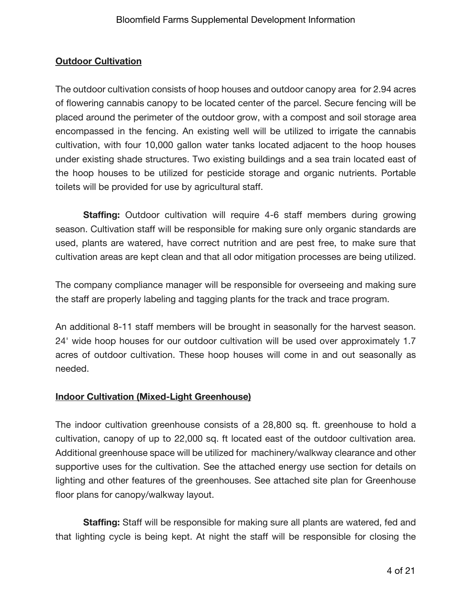## **Outdoor Cultivation**

The outdoor cultivation consists of hoop houses and outdoor canopy area for 2.94 acres of flowering cannabis canopy to be located center of the parcel. Secure fencing will be placed around the perimeter of the outdoor grow, with a compost and soil storage area encompassed in the fencing. An existing well will be utilized to irrigate the cannabis cultivation, with four 10,000 gallon water tanks located adjacent to the hoop houses under existing shade structures. Two existing buildings and a sea train located east of the hoop houses to be utilized for pesticide storage and organic nutrients. Portable toilets will be provided for use by agricultural staff.

**Staffing:** Outdoor cultivation will require 4-6 staff members during growing season. Cultivation staff will be responsible for making sure only organic standards are used, plants are watered, have correct nutrition and are pest free, to make sure that cultivation areas are kept clean and that all odor mitigation processes are being utilized.

The company compliance manager will be responsible for overseeing and making sure the staff are properly labeling and tagging plants for the track and trace program.

An additional 8-11 staff members will be brought in seasonally for the harvest season. 24' wide hoop houses for our outdoor cultivation will be used over approximately 1.7 acres of outdoor cultivation. These hoop houses will come in and out seasonally as needed.

## **Indoor Cultivation (Mixed-Light Greenhouse)**

The indoor cultivation greenhouse consists of a 28,800 sq. ft. greenhouse to hold a cultivation, canopy of up to 22,000 sq. ft located east of the outdoor cultivation area. Additional greenhouse space will be utilized for machinery/walkway clearance and other supportive uses for the cultivation. See the attached energy use section for details on lighting and other features of the greenhouses. See attached site plan for Greenhouse floor plans for canopy/walkway layout.

**Staffing:** Staff will be responsible for making sure all plants are watered, fed and that lighting cycle is being kept. At night the staff will be responsible for closing the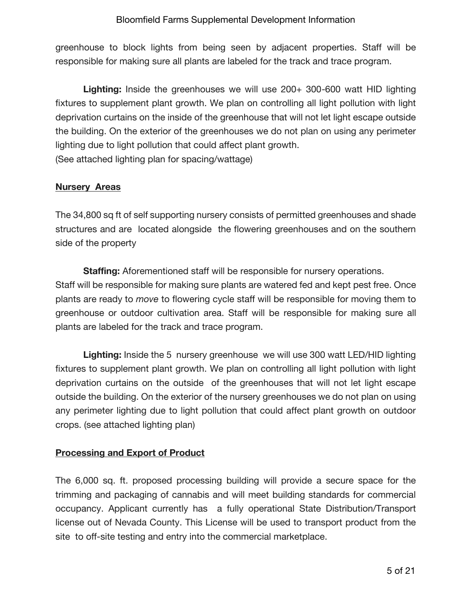greenhouse to block lights from being seen by adjacent properties. Staff will be responsible for making sure all plants are labeled for the track and trace program.

**Lighting:** Inside the greenhouses we will use 200+ 300-600 watt HID lighting fixtures to supplement plant growth. We plan on controlling all light pollution with light deprivation curtains on the inside of the greenhouse that will not let light escape outside the building. On the exterior of the greenhouses we do not plan on using any perimeter lighting due to light pollution that could affect plant growth. (See attached lighting plan for spacing/wattage)

#### **Nursery Areas**

The 34,800 sq ft of self supporting nursery consists of permitted greenhouses and shade structures and are located alongside the flowering greenhouses and on the southern side of the property

**Staffing:** Aforementioned staff will be responsible for nursery operations. Staff will be responsible for making sure plants are watered fed and kept pest free. Once plants are ready to *move* to flowering cycle staff will be responsible for moving them to greenhouse or outdoor cultivation area. Staff will be responsible for making sure all plants are labeled for the track and trace program.

**Lighting:** Inside the 5 nursery greenhouse we will use 300 watt LED/HID lighting fixtures to supplement plant growth. We plan on controlling all light pollution with light deprivation curtains on the outside of the greenhouses that will not let light escape outside the building. On the exterior of the nursery greenhouses we do not plan on using any perimeter lighting due to light pollution that could affect plant growth on outdoor crops. (see attached lighting plan)

## **Processing and Export of Product**

The 6,000 sq. ft. proposed processing building will provide a secure space for the trimming and packaging of cannabis and will meet building standards for commercial occupancy. Applicant currently has a fully operational State Distribution/Transport license out of Nevada County. This License will be used to transport product from the site to off-site testing and entry into the commercial marketplace.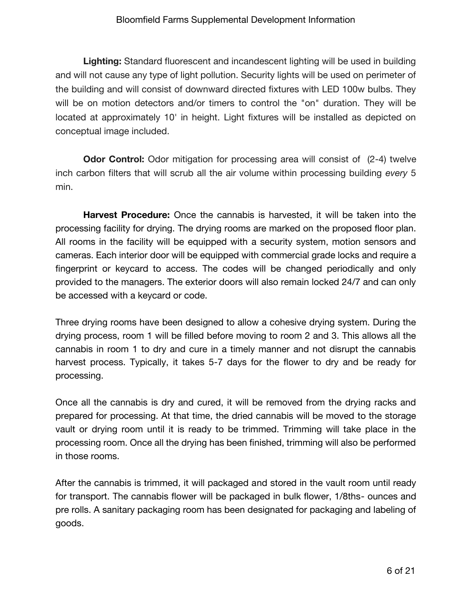**Lighting:** Standard fluorescent and incandescent lighting will be used in building and will not cause any type of light pollution. Security lights will be used on perimeter of the building and will consist of downward directed fixtures with LED 100w bulbs. They will be on motion detectors and/or timers to control the "on" duration. They will be located at approximately 10' in height. Light fixtures will be installed as depicted on conceptual image included.

**Odor Control:** Odor mitigation for processing area will consist of (2-4) twelve inch carbon filters that will scrub all the air volume within processing building *every* 5 min.

**Harvest Procedure:** Once the cannabis is harvested, it will be taken into the processing facility for drying. The drying rooms are marked on the proposed floor plan. All rooms in the facility will be equipped with a security system, motion sensors and cameras. Each interior door will be equipped with commercial grade locks and require a fingerprint or keycard to access. The codes will be changed periodically and only provided to the managers. The exterior doors will also remain locked 24/7 and can only be accessed with a keycard or code.

Three drying rooms have been designed to allow a cohesive drying system. During the drying process, room 1 will be filled before moving to room 2 and 3. This allows all the cannabis in room 1 to dry and cure in a timely manner and not disrupt the cannabis harvest process. Typically, it takes 5-7 days for the flower to dry and be ready for processing.

Once all the cannabis is dry and cured, it will be removed from the drying racks and prepared for processing. At that time, the dried cannabis will be moved to the storage vault or drying room until it is ready to be trimmed. Trimming will take place in the processing room. Once all the drying has been finished, trimming will also be performed in those rooms.

After the cannabis is trimmed, it will packaged and stored in the vault room until ready for transport. The cannabis flower will be packaged in bulk flower, 1/8ths- ounces and pre rolls. A sanitary packaging room has been designated for packaging and labeling of goods.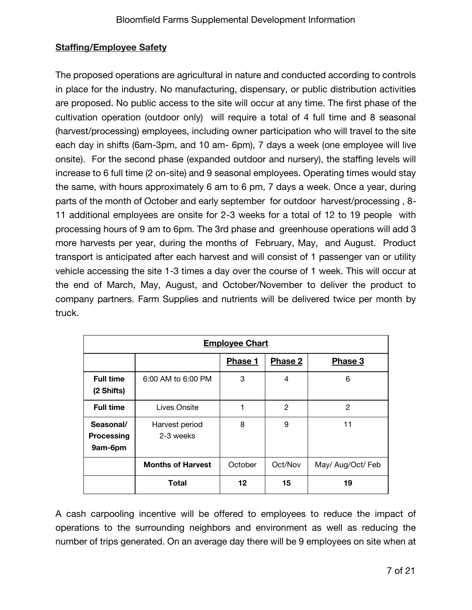## **Staffing/Employee Safety**

The proposed operations are agricultural in nature and conducted according to controls in place for the industry. No manufacturing, dispensary, or public distribution activities are proposed. No public access to the site will occur at any time. The first phase of the cultivation operation (outdoor only) will require a total of 4 full time and 8 seasonal (harvest/processing) employees, including owner participation who will travel to the site each day in shifts (6am-3pm, and 10 am- 6pm), 7 days a week (one employee will live onsite). For the second phase (expanded outdoor and nursery), the staffing levels will increase to 6 full time (2 on-site) and 9 seasonal employees. Operating times would stay the same, with hours approximately 6 am to 6 pm, 7 days a week. Once a year, during parts of the month of October and early september for outdoor harvest/processing , 8- 11 additional employees are onsite for 2-3 weeks for a total of 12 to 19 people with processing hours of 9 am to 6pm. The 3rd phase and greenhouse operations will add 3 more harvests per year, during the months of February, May, and August. Product transport is anticipated after each harvest and will consist of 1 passenger van or utility vehicle accessing the site 1-3 times a day over the course of 1 week. This will occur at the end of March, May, August, and October/November to deliver the product to company partners. Farm Supplies and nutrients will be delivered twice per month by truck.

| <b>Employee Chart</b>              |                             |         |                |                   |  |
|------------------------------------|-----------------------------|---------|----------------|-------------------|--|
|                                    |                             | Phase 1 | <b>Phase 2</b> | Phase 3           |  |
| <b>Full time</b><br>(2 Shifts)     | 6:00 AM to 6:00 PM          | 3       | 4              | 6                 |  |
| <b>Full time</b>                   | Lives Onsite                | 1       | 2              | 2                 |  |
| Seasonal/<br>Processing<br>9am-6pm | Harvest period<br>2-3 weeks | 8       | 9              | 11                |  |
|                                    | <b>Months of Harvest</b>    | October | Oct/Nov        | May/ Aug/Oct/ Feb |  |
|                                    | Total                       | 12      | 15             | 19                |  |

A cash carpooling incentive will be offered to employees to reduce the impact of operations to the surrounding neighbors and environment as well as reducing the number of trips generated. On an average day there will be 9 employees on site when at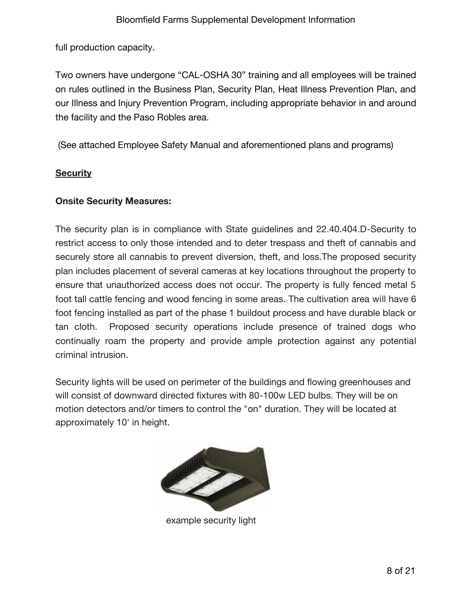full production capacity.

Two owners have undergone "CAL-OSHA 30" training and all employees will be trained on rules outlined in the Business Plan, Security Plan, Heat Illness Prevention Plan, and our Illness and Injury Prevention Program, including appropriate behavior in and around the facility and the Paso Robles area.

(See attached Employee Safety Manual and aforementioned plans and programs)

## **Security**

## **Onsite Security Measures:**

The security plan is in compliance with State guidelines and 22.40.404.D-Security to restrict access to only those intended and to deter trespass and theft of cannabis and securely store all cannabis to prevent diversion, theft, and loss.The proposed security plan includes placement of several cameras at key locations throughout the property to ensure that unauthorized access does not occur. The property is fully fenced metal 5 foot tall cattle fencing and wood fencing in some areas. The cultivation area will have 6 foot fencing installed as part of the phase 1 buildout process and have durable black or tan cloth. Proposed security operations include presence of trained dogs who continually roam the property and provide ample protection against any potential criminal intrusion.

Security lights will be used on perimeter of the buildings and flowing greenhouses and will consist of downward directed fixtures with 80-100w LED bulbs. They will be on motion detectors and/or timers to control the "on" duration. They will be located at approximately 10' in height.



example security light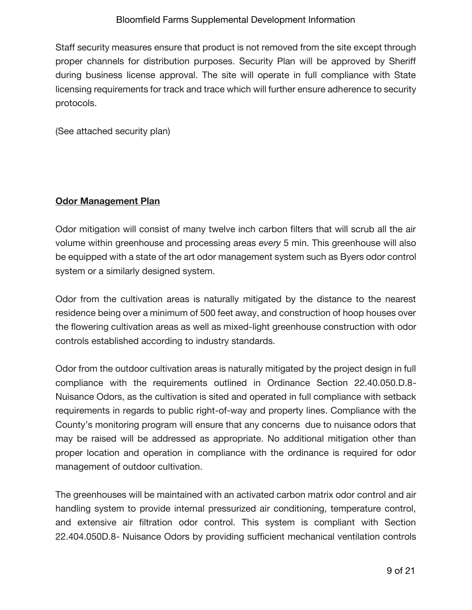Staff security measures ensure that product is not removed from the site except through proper channels for distribution purposes. Security Plan will be approved by Sheriff during business license approval. The site will operate in full compliance with State licensing requirements for track and trace which will further ensure adherence to security protocols.

(See attached security plan)

### **Odor Management Plan**

Odor mitigation will consist of many twelve inch carbon filters that will scrub all the air volume within greenhouse and processing areas *every* 5 min. This greenhouse will also be equipped with a state of the art odor management system such as Byers odor control system or a similarly designed system.

Odor from the cultivation areas is naturally mitigated by the distance to the nearest residence being over a minimum of 500 feet away, and construction of hoop houses over the flowering cultivation areas as well as mixed-light greenhouse construction with odor controls established according to industry standards.

Odor from the outdoor cultivation areas is naturally mitigated by the project design in full compliance with the requirements outlined in Ordinance Section 22.40.050.D.8- Nuisance Odors, as the cultivation is sited and operated in full compliance with setback requirements in regards to public right-of-way and property lines. Compliance with the County's monitoring program will ensure that any concerns due to nuisance odors that may be raised will be addressed as appropriate. No additional mitigation other than proper location and operation in compliance with the ordinance is required for odor management of outdoor cultivation.

The greenhouses will be maintained with an activated carbon matrix odor control and air handling system to provide internal pressurized air conditioning, temperature control, and extensive air filtration odor control. This system is compliant with Section 22.404.050D.8- Nuisance Odors by providing sufficient mechanical ventilation controls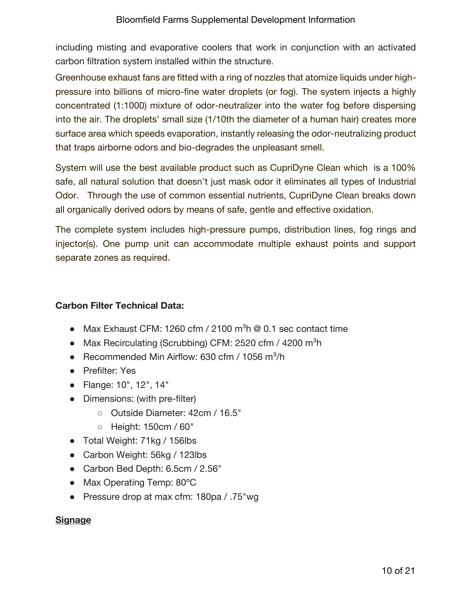including misting and evaporative coolers that work in conjunction with an activated carbon filtration system installed within the structure.

Greenhouse exhaust fans are fitted with a ring of nozzles that atomize liquids under highpressure into billions of micro-fine water droplets (or fog). The system injects a highly concentrated (1:1000) mixture of odor-neutralizer into the water fog before dispersing into the air. The droplets' small size (1/10th the diameter of a human hair) creates more surface area which speeds evaporation, instantly releasing the odor-neutralizing product that traps airborne odors and bio-degrades the unpleasant smell.

System will use the best available product such as CupriDyne Clean which is a 100% safe, all natural solution that doesn't just mask odor it eliminates all types of Industrial Odor. Through the use of common essential nutrients, CupriDyne Clean breaks down all organically derived odors by means of safe, gentle and effective oxidation.

The complete system includes high-pressure pumps, distribution lines, fog rings and injector(s). One pump unit can accommodate multiple exhaust points and support separate zones as required.

## **Carbon Filter Technical Data:**

- Max Exhaust CFM: 1260 cfm / 2100 m<sup>3</sup>h  $@$  0.1 sec contact time
- Max Recirculating (Scrubbing) CFM: 2520 cfm / 4200 m<sup>3</sup>h
- Recommended Min Airflow: 630 cfm / 1056 m<sup>3</sup>/h
- Prefilter: Yes
- Flange: 10", 12", 14"
- Dimensions: (with pre-filter)
	- Outside Diameter: 42cm / 16.5"
	- Height: 150cm / 60"
- Total Weight: 71kg / 156lbs
- Carbon Weight: 56kg / 123lbs
- Carbon Bed Depth: 6.5cm / 2.56"
- Max Operating Temp: 80°C
- Pressure drop at max cfm: 180pa / .75"wg

## **Signage**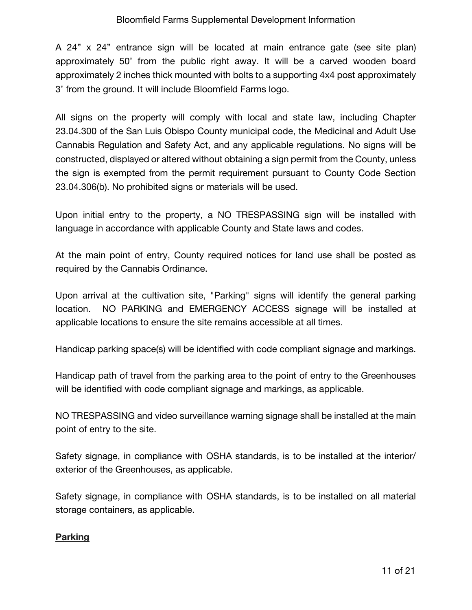A 24" x 24" entrance sign will be located at main entrance gate (see site plan) approximately 50' from the public right away. It will be a carved wooden board approximately 2 inches thick mounted with bolts to a supporting 4x4 post approximately 3' from the ground. It will include Bloomfield Farms logo.

All signs on the property will comply with local and state law, including Chapter 23.04.300 of the San Luis Obispo County municipal code, the Medicinal and Adult Use Cannabis Regulation and Safety Act, and any applicable regulations. No signs will be constructed, displayed or altered without obtaining a sign permit from the County, unless the sign is exempted from the permit requirement pursuant to County Code Section 23.04.306(b). No prohibited signs or materials will be used.

Upon initial entry to the property, a NO TRESPASSING sign will be installed with language in accordance with applicable County and State laws and codes.

At the main point of entry, County required notices for land use shall be posted as required by the Cannabis Ordinance.

Upon arrival at the cultivation site, "Parking" signs will identify the general parking location. NO PARKING and EMERGENCY ACCESS signage will be installed at applicable locations to ensure the site remains accessible at all times.

Handicap parking space(s) will be identified with code compliant signage and markings.

Handicap path of travel from the parking area to the point of entry to the Greenhouses will be identified with code compliant signage and markings, as applicable.

NO TRESPASSING and video surveillance warning signage shall be installed at the main point of entry to the site.

Safety signage, in compliance with OSHA standards, is to be installed at the interior/ exterior of the Greenhouses, as applicable.

Safety signage, in compliance with OSHA standards, is to be installed on all material storage containers, as applicable.

## **Parking**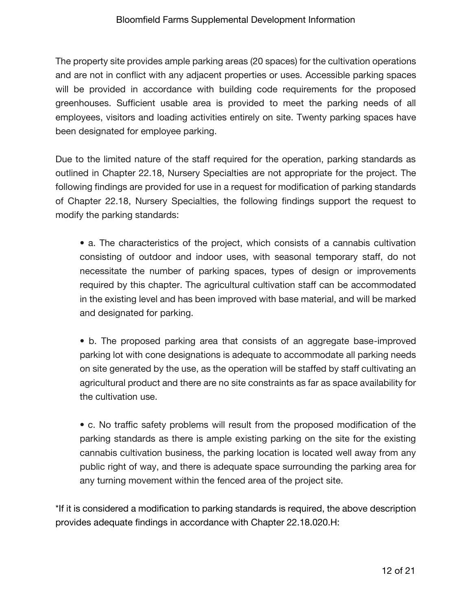The property site provides ample parking areas (20 spaces) for the cultivation operations and are not in conflict with any adjacent properties or uses. Accessible parking spaces will be provided in accordance with building code requirements for the proposed greenhouses. Sufficient usable area is provided to meet the parking needs of all employees, visitors and loading activities entirely on site. Twenty parking spaces have been designated for employee parking.

Due to the limited nature of the staff required for the operation, parking standards as outlined in Chapter 22.18, Nursery Specialties are not appropriate for the project. The following findings are provided for use in a request for modification of parking standards of Chapter 22.18, Nursery Specialties, the following findings support the request to modify the parking standards:

• a. The characteristics of the project, which consists of a cannabis cultivation consisting of outdoor and indoor uses, with seasonal temporary staff, do not necessitate the number of parking spaces, types of design or improvements required by this chapter. The agricultural cultivation staff can be accommodated in the existing level and has been improved with base material, and will be marked and designated for parking.

• b. The proposed parking area that consists of an aggregate base-improved parking lot with cone designations is adequate to accommodate all parking needs on site generated by the use, as the operation will be staffed by staff cultivating an agricultural product and there are no site constraints as far as space availability for the cultivation use.

• c. No traffic safety problems will result from the proposed modification of the parking standards as there is ample existing parking on the site for the existing cannabis cultivation business, the parking location is located well away from any public right of way, and there is adequate space surrounding the parking area for any turning movement within the fenced area of the project site.

\*If it is considered a modification to parking standards is required, the above description provides adequate findings in accordance with Chapter 22.18.020.H: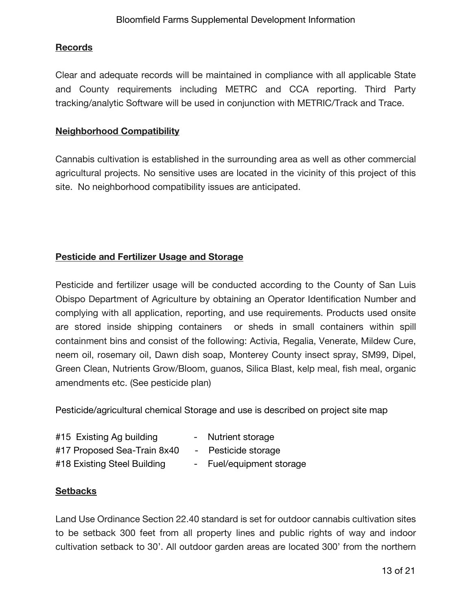## **Records**

Clear and adequate records will be maintained in compliance with all applicable State and County requirements including METRC and CCA reporting. Third Party tracking/analytic Software will be used in conjunction with METRIC/Track and Trace.

## **Neighborhood Compatibility**

Cannabis cultivation is established in the surrounding area as well as other commercial agricultural projects. No sensitive uses are located in the vicinity of this project of this site. No neighborhood compatibility issues are anticipated.

## **Pesticide and Fertilizer Usage and Storage**

Pesticide and fertilizer usage will be conducted according to the County of San Luis Obispo Department of Agriculture by obtaining an Operator Identification Number and complying with all application, reporting, and use requirements. Products used onsite are stored inside shipping containers or sheds in small containers within spill containment bins and consist of the following: Activia, Regalia, Venerate, Mildew Cure, neem oil, rosemary oil, Dawn dish soap, Monterey County insect spray, SM99, Dipel, Green Clean, Nutrients Grow/Bloom, guanos, Silica Blast, kelp meal, fish meal, organic amendments etc. (See pesticide plan)

Pesticide/agricultural chemical Storage and use is described on project site map

- #15 Existing Ag building The Sultrient storage
- 
- 
- #17 Proposed Sea-Train 8x40 Pesticide storage
- #18 Existing Steel Building Fuel/equipment storage

## **Setbacks**

Land Use Ordinance Section 22.40 standard is set for outdoor cannabis cultivation sites to be setback 300 feet from all property lines and public rights of way and indoor cultivation setback to 30'. All outdoor garden areas are located 300' from the northern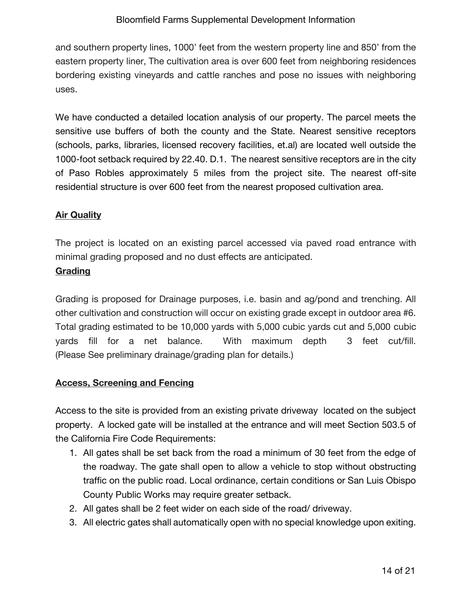and southern property lines, 1000' feet from the western property line and 850' from the eastern property liner, The cultivation area is over 600 feet from neighboring residences bordering existing vineyards and cattle ranches and pose no issues with neighboring uses.

We have conducted a detailed location analysis of our property. The parcel meets the sensitive use buffers of both the county and the State. Nearest sensitive receptors (schools, parks, libraries, licensed recovery facilities, et.al) are located well outside the 1000-foot setback required by 22.40. D.1. The nearest sensitive receptors are in the city of Paso Robles approximately 5 miles from the project site. The nearest off-site residential structure is over 600 feet from the nearest proposed cultivation area.

## **Air Quality**

The project is located on an existing parcel accessed via paved road entrance with minimal grading proposed and no dust effects are anticipated.

## **Grading**

Grading is proposed for Drainage purposes, i.e. basin and ag/pond and trenching. All other cultivation and construction will occur on existing grade except in outdoor area #6. Total grading estimated to be 10,000 yards with 5,000 cubic yards cut and 5,000 cubic yards fill for a net balance. With maximum depth 3 feet cut/fill. (Please See preliminary drainage/grading plan for details.)

## **Access, Screening and Fencing**

Access to the site is provided from an existing private driveway located on the subject property. A locked gate will be installed at the entrance and will meet Section 503.5 of the California Fire Code Requirements:

- 1. All gates shall be set back from the road a minimum of 30 feet from the edge of the roadway. The gate shall open to allow a vehicle to stop without obstructing traffic on the public road. Local ordinance, certain conditions or San Luis Obispo County Public Works may require greater setback.
- 2. All gates shall be 2 feet wider on each side of the road/ driveway.
- 3. All electric gates shall automatically open with no special knowledge upon exiting.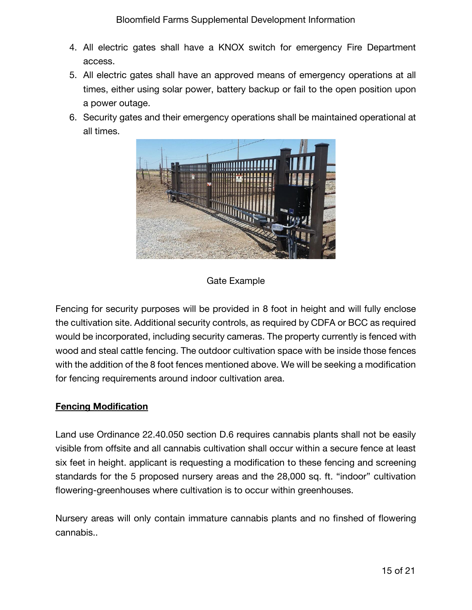- 4. All electric gates shall have a KNOX switch for emergency Fire Department access.
- 5. All electric gates shall have an approved means of emergency operations at all times, either using solar power, battery backup or fail to the open position upon a power outage.
- 6. Security gates and their emergency operations shall be maintained operational at all times.



## Gate Example

Fencing for security purposes will be provided in 8 foot in height and will fully enclose the cultivation site. Additional security controls, as required by CDFA or BCC as required would be incorporated, including security cameras. The property currently is fenced with wood and steal cattle fencing. The outdoor cultivation space with be inside those fences with the addition of the 8 foot fences mentioned above. We will be seeking a modification for fencing requirements around indoor cultivation area.

## **Fencing Modification**

Land use Ordinance 22.40.050 section D.6 requires cannabis plants shall not be easily visible from offsite and all cannabis cultivation shall occur within a secure fence at least six feet in height. applicant is requesting a modification to these fencing and screening standards for the 5 proposed nursery areas and the 28,000 sq. ft. "indoor" cultivation flowering-greenhouses where cultivation is to occur within greenhouses.

Nursery areas will only contain immature cannabis plants and no finshed of flowering cannabis..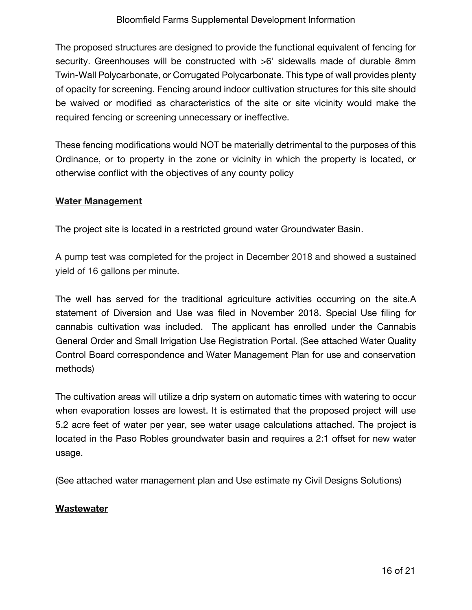The proposed structures are designed to provide the functional equivalent of fencing for security. Greenhouses will be constructed with >6' sidewalls made of durable 8mm Twin-Wall Polycarbonate, or Corrugated Polycarbonate. This type of wall provides plenty of opacity for screening. Fencing around indoor cultivation structures for this site should be waived or modified as characteristics of the site or site vicinity would make the required fencing or screening unnecessary or ineffective.

These fencing modifications would NOT be materially detrimental to the purposes of this Ordinance, or to property in the zone or vicinity in which the property is located, or otherwise conflict with the objectives of any county policy

#### **Water Management**

The project site is located in a restricted ground water Groundwater Basin.

A pump test was completed for the project in December 2018 and showed a sustained yield of 16 gallons per minute.

The well has served for the traditional agriculture activities occurring on the site.A statement of Diversion and Use was filed in November 2018. Special Use filing for cannabis cultivation was included. The applicant has enrolled under the Cannabis General Order and Small Irrigation Use Registration Portal. (See attached Water Quality Control Board correspondence and Water Management Plan for use and conservation methods)

The cultivation areas will utilize a drip system on automatic times with watering to occur when evaporation losses are lowest. It is estimated that the proposed project will use 5.2 acre feet of water per year, see water usage calculations attached. The project is located in the Paso Robles groundwater basin and requires a 2:1 offset for new water usage.

(See attached water management plan and Use estimate ny Civil Designs Solutions)

#### **Wastewater**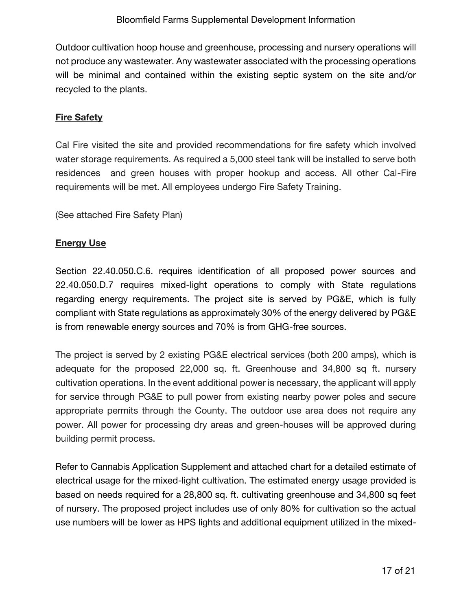Outdoor cultivation hoop house and greenhouse, processing and nursery operations will not produce any wastewater. Any wastewater associated with the processing operations will be minimal and contained within the existing septic system on the site and/or recycled to the plants.

## **Fire Safety**

Cal Fire visited the site and provided recommendations for fire safety which involved water storage requirements. As required a 5,000 steel tank will be installed to serve both residences and green houses with proper hookup and access. All other Cal-Fire requirements will be met. All employees undergo Fire Safety Training.

(See attached Fire Safety Plan)

## **Energy Use**

Section 22.40.050.C.6. requires identification of all proposed power sources and 22.40.050.D.7 requires mixed-light operations to comply with State regulations regarding energy requirements. The project site is served by PG&E, which is fully compliant with State regulations as approximately 30% of the energy delivered by PG&E is from renewable energy sources and 70% is from GHG-free sources.

The project is served by 2 existing PG&E electrical services (both 200 amps), which is adequate for the proposed 22,000 sq. ft. Greenhouse and 34,800 sq ft. nursery cultivation operations. In the event additional power is necessary, the applicant will apply for service through PG&E to pull power from existing nearby power poles and secure appropriate permits through the County. The outdoor use area does not require any power. All power for processing dry areas and green-houses will be approved during building permit process.

Refer to Cannabis Application Supplement and attached chart for a detailed estimate of electrical usage for the mixed-light cultivation. The estimated energy usage provided is based on needs required for a 28,800 sq. ft. cultivating greenhouse and 34,800 sq feet of nursery. The proposed project includes use of only 80% for cultivation so the actual use numbers will be lower as HPS lights and additional equipment utilized in the mixed-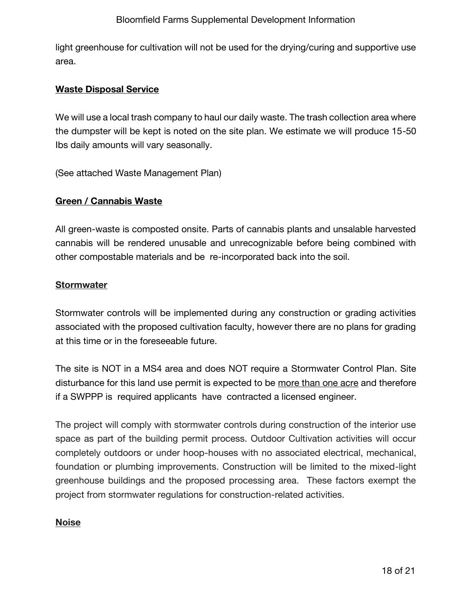light greenhouse for cultivation will not be used for the drying/curing and supportive use area.

#### **Waste Disposal Service**

We will use a local trash company to haul our daily waste. The trash collection area where the dumpster will be kept is noted on the site plan. We estimate we will produce 15-50 Ibs daily amounts will vary seasonally.

(See attached Waste Management Plan)

#### **Green / Cannabis Waste**

All green-waste is composted onsite. Parts of cannabis plants and unsalable harvested cannabis will be rendered unusable and unrecognizable before being combined with other compostable materials and be re-incorporated back into the soil.

#### **Stormwater**

Stormwater controls will be implemented during any construction or grading activities associated with the proposed cultivation faculty, however there are no plans for grading at this time or in the foreseeable future.

The site is NOT in a MS4 area and does NOT require a Stormwater Control Plan. Site disturbance for this land use permit is expected to be more than one acre and therefore if a SWPPP is required applicants have contracted a licensed engineer.

The project will comply with stormwater controls during construction of the interior use space as part of the building permit process. Outdoor Cultivation activities will occur completely outdoors or under hoop-houses with no associated electrical, mechanical, foundation or plumbing improvements. Construction will be limited to the mixed-light greenhouse buildings and the proposed processing area. These factors exempt the project from stormwater regulations for construction-related activities.

#### **Noise**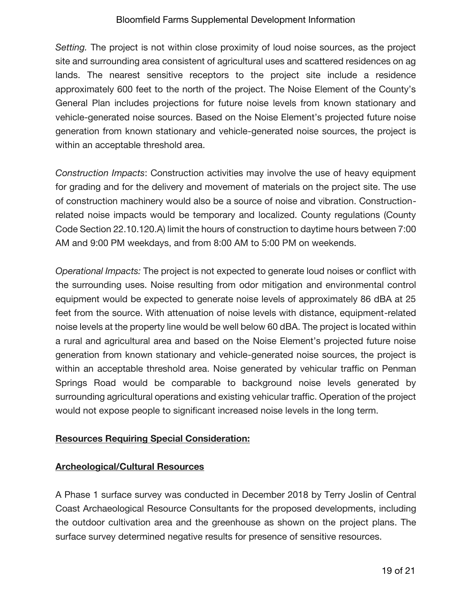*Setting.* The project is not within close proximity of loud noise sources, as the project site and surrounding area consistent of agricultural uses and scattered residences on ag lands. The nearest sensitive receptors to the project site include a residence approximately 600 feet to the north of the project. The Noise Element of the County's General Plan includes projections for future noise levels from known stationary and vehicle-generated noise sources. Based on the Noise Element's projected future noise generation from known stationary and vehicle-generated noise sources, the project is within an acceptable threshold area.

*Construction Impacts*: Construction activities may involve the use of heavy equipment for grading and for the delivery and movement of materials on the project site. The use of construction machinery would also be a source of noise and vibration. Constructionrelated noise impacts would be temporary and localized. County regulations (County Code Section 22.10.120.A) limit the hours of construction to daytime hours between 7:00 AM and 9:00 PM weekdays, and from 8:00 AM to 5:00 PM on weekends.

*Operational Impacts:* The project is not expected to generate loud noises or conflict with the surrounding uses. Noise resulting from odor mitigation and environmental control equipment would be expected to generate noise levels of approximately 86 dBA at 25 feet from the source. With attenuation of noise levels with distance, equipment-related noise levels at the property line would be well below 60 dBA. The project is located within a rural and agricultural area and based on the Noise Element's projected future noise generation from known stationary and vehicle-generated noise sources, the project is within an acceptable threshold area. Noise generated by vehicular traffic on Penman Springs Road would be comparable to background noise levels generated by surrounding agricultural operations and existing vehicular traffic. Operation of the project would not expose people to significant increased noise levels in the long term.

## **Resources Requiring Special Consideration:**

## **Archeological/Cultural Resources**

A Phase 1 surface survey was conducted in December 2018 by Terry Joslin of Central Coast Archaeological Resource Consultants for the proposed developments, including the outdoor cultivation area and the greenhouse as shown on the project plans. The surface survey determined negative results for presence of sensitive resources.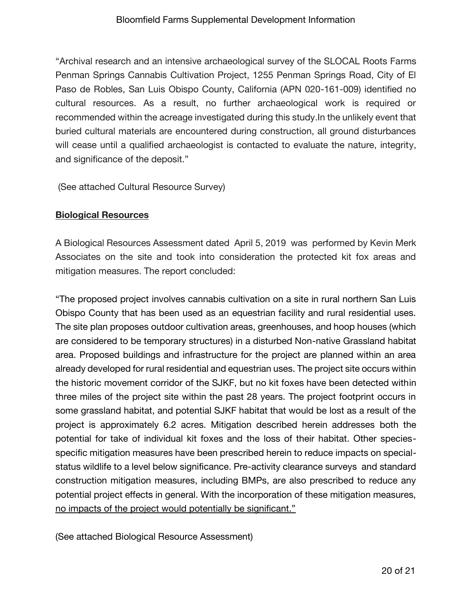"Archival research and an intensive archaeological survey of the SLOCAL Roots Farms Penman Springs Cannabis Cultivation Project, 1255 Penman Springs Road, City of El Paso de Robles, San Luis Obispo County, California (APN 020-161-009) identified no cultural resources. As a result, no further archaeological work is required or recommended within the acreage investigated during this study.In the unlikely event that buried cultural materials are encountered during construction, all ground disturbances will cease until a qualified archaeologist is contacted to evaluate the nature, integrity, and significance of the deposit."

(See attached Cultural Resource Survey)

### **Biological Resources**

A Biological Resources Assessment dated April 5, 2019 was performed by Kevin Merk Associates on the site and took into consideration the protected kit fox areas and mitigation measures. The report concluded:

"The proposed project involves cannabis cultivation on a site in rural northern San Luis Obispo County that has been used as an equestrian facility and rural residential uses. The site plan proposes outdoor cultivation areas, greenhouses, and hoop houses (which are considered to be temporary structures) in a disturbed Non-native Grassland habitat area. Proposed buildings and infrastructure for the project are planned within an area already developed for rural residential and equestrian uses. The project site occurs within the historic movement corridor of the SJKF, but no kit foxes have been detected within three miles of the project site within the past 28 years. The project footprint occurs in some grassland habitat, and potential SJKF habitat that would be lost as a result of the project is approximately 6.2 acres. Mitigation described herein addresses both the potential for take of individual kit foxes and the loss of their habitat. Other speciesspecific mitigation measures have been prescribed herein to reduce impacts on specialstatus wildlife to a level below significance. Pre-activity clearance surveys and standard construction mitigation measures, including BMPs, are also prescribed to reduce any potential project effects in general. With the incorporation of these mitigation measures, no impacts of the project would potentially be significant."

(See attached Biological Resource Assessment)